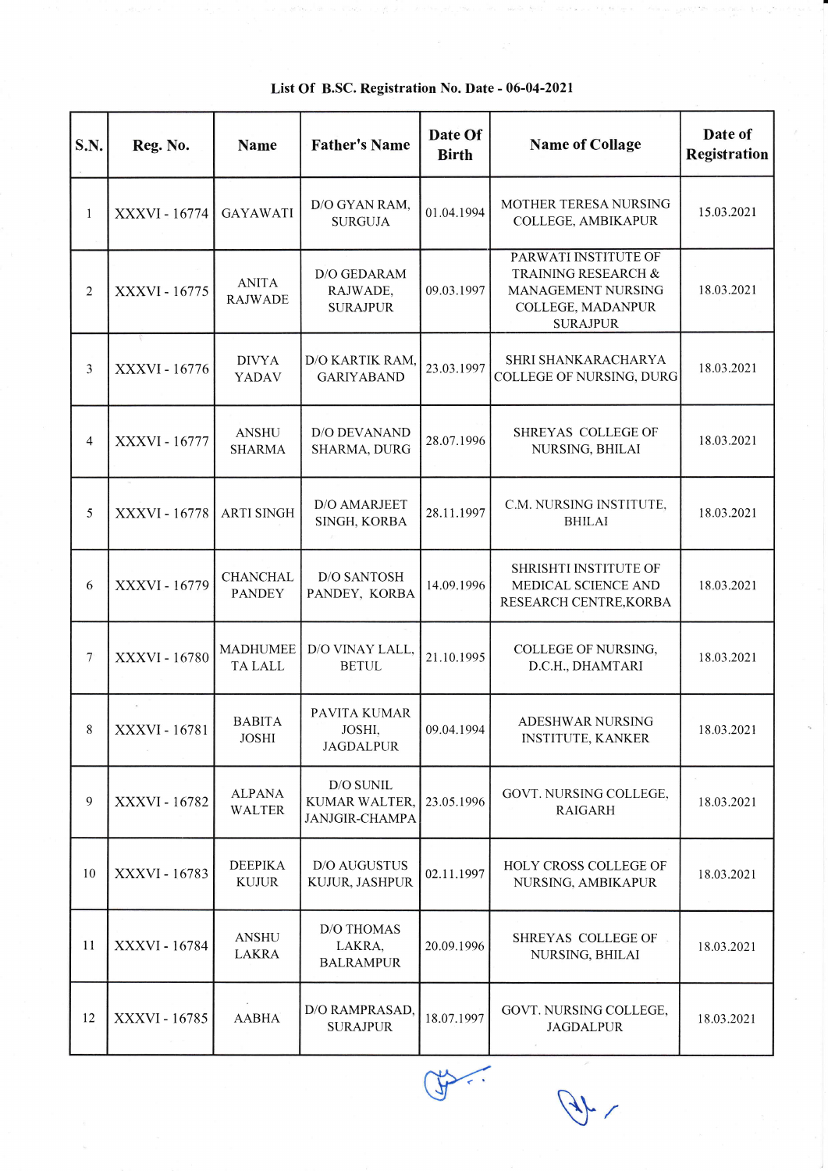| S.N.           | Reg. No.             | <b>Name</b>                       | <b>Father's Name</b>                                | Date Of<br><b>Birth</b> | <b>Name of Collage</b>                                                                                    | Date of<br>Registration |
|----------------|----------------------|-----------------------------------|-----------------------------------------------------|-------------------------|-----------------------------------------------------------------------------------------------------------|-------------------------|
| $\mathbf{1}$   | XXXVI - 16774        | <b>GAYAWATI</b>                   | D/O GYAN RAM,<br><b>SURGUJA</b>                     | 01.04.1994              | MOTHER TERESA NURSING<br>COLLEGE, AMBIKAPUR                                                               | 15.03.2021              |
| $\overline{2}$ | XXXVI - 16775        | <b>ANITA</b><br><b>RAJWADE</b>    | D/O GEDARAM<br>RAJWADE,<br><b>SURAJPUR</b>          | 09.03.1997              | PARWATI INSTITUTE OF<br>TRAINING RESEARCH &<br>MANAGEMENT NURSING<br>COLLEGE, MADANPUR<br><b>SURAJPUR</b> | 18.03.2021              |
| 3              | XXXVI - 16776        | <b>DIVYA</b><br>YADAV             | D/O KARTIK RAM,<br><b>GARIYABAND</b>                | 23.03.1997              | SHRI SHANKARACHARYA<br>COLLEGE OF NURSING, DURG                                                           | 18.03.2021              |
| 4              | <b>XXXVI - 16777</b> | <b>ANSHU</b><br><b>SHARMA</b>     | D/O DEVANAND<br>SHARMA, DURG                        | 28.07.1996              | SHREYAS COLLEGE OF<br>NURSING, BHILAI                                                                     | 18.03.2021              |
| 5              | XXXVI - 16778        | <b>ARTI SINGH</b>                 | D/O AMARJEET<br>SINGH, KORBA                        | 28.11.1997              | C.M. NURSING INSTITUTE,<br><b>BHILAI</b>                                                                  | 18.03.2021              |
| 6              | XXXVI - 16779        | <b>CHANCHAL</b><br><b>PANDEY</b>  | <b>D/O SANTOSH</b><br>PANDEY, KORBA                 | 14.09.1996              | SHRISHTI INSTITUTE OF<br>MEDICAL SCIENCE AND<br>RESEARCH CENTRE, KORBA                                    | 18.03.2021              |
| 7              | XXXVI - 16780        | <b>MADHUMEE</b><br><b>TA LALL</b> | D/O VINAY LALL,<br><b>BETUL</b>                     | 21.10.1995              | COLLEGE OF NURSING,<br>D.C.H., DHAMTARI                                                                   | 18.03.2021              |
| 8              | XXXVI - 16781        | <b>BABITA</b><br><b>JOSHI</b>     | PAVITA KUMAR<br>JOSHI,<br>JAGDALPUR                 | 09.04.1994              | ADESHWAR NURSING<br><b>INSTITUTE, KANKER</b>                                                              | 18.03.2021              |
| 9              | XXXVI - 16782        | <b>ALPANA</b><br><b>WALTER</b>    | D/O SUNIL<br>KUMAR WALTER,<br><b>JANJGIR-CHAMPA</b> | 23.05.1996              | GOVT. NURSING COLLEGE,<br><b>RAIGARH</b>                                                                  | 18.03.2021              |
| $10\,$         | XXXVI - 16783        | <b>DEEPIKA</b><br><b>KUJUR</b>    | D/O AUGUSTUS<br>KUJUR, JASHPUR                      | 02.11.1997              | HOLY CROSS COLLEGE OF<br>NURSING, AMBIKAPUR                                                               | 18.03.2021              |
| 11             | XXXVI - 16784        | <b>ANSHU</b><br>LAKRA             | <b>D/O THOMAS</b><br>LAKRA,<br><b>BALRAMPUR</b>     | 20.09.1996              | SHREYAS COLLEGE OF<br>NURSING, BHILAI                                                                     | 18.03.2021              |
| 12             | XXXVI - 16785        | <b>AABHA</b>                      | D/O RAMPRASAD,<br><b>SURAJPUR</b>                   | 18.07.1997              | GOVT. NURSING COLLEGE,<br><b>JAGDALPUR</b>                                                                | 18.03.2021              |

List Of B.SC. Registration No. Date - 06-04-2021

f

 $\mathcal{A}$